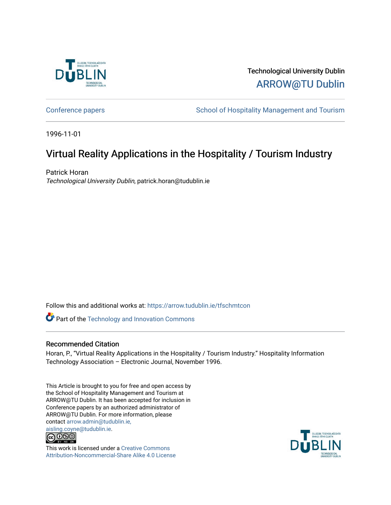

Technological University Dublin [ARROW@TU Dublin](https://arrow.tudublin.ie/) 

[Conference papers](https://arrow.tudublin.ie/tfschmtcon) **School of Hospitality Management and Tourism** 

1996-11-01

# Virtual Reality Applications in the Hospitality / Tourism Industry

Patrick Horan Technological University Dublin, patrick.horan@tudublin.ie

Follow this and additional works at: [https://arrow.tudublin.ie/tfschmtcon](https://arrow.tudublin.ie/tfschmtcon?utm_source=arrow.tudublin.ie%2Ftfschmtcon%2F17&utm_medium=PDF&utm_campaign=PDFCoverPages)

Part of the [Technology and Innovation Commons](http://network.bepress.com/hgg/discipline/644?utm_source=arrow.tudublin.ie%2Ftfschmtcon%2F17&utm_medium=PDF&utm_campaign=PDFCoverPages)

# Recommended Citation

Horan, P., "Virtual Reality Applications in the Hospitality / Tourism Industry." Hospitality Information Technology Association – Electronic Journal, November 1996.

This Article is brought to you for free and open access by the School of Hospitality Management and Tourism at ARROW@TU Dublin. It has been accepted for inclusion in Conference papers by an authorized administrator of ARROW@TU Dublin. For more information, please contact [arrow.admin@tudublin.ie,](mailto:arrow.admin@tudublin.ie,%20aisling.coyne@tudublin.ie)  [aisling.coyne@tudublin.ie.](mailto:arrow.admin@tudublin.ie,%20aisling.coyne@tudublin.ie)



This work is licensed under a [Creative Commons](http://creativecommons.org/licenses/by-nc-sa/4.0/) [Attribution-Noncommercial-Share Alike 4.0 License](http://creativecommons.org/licenses/by-nc-sa/4.0/)

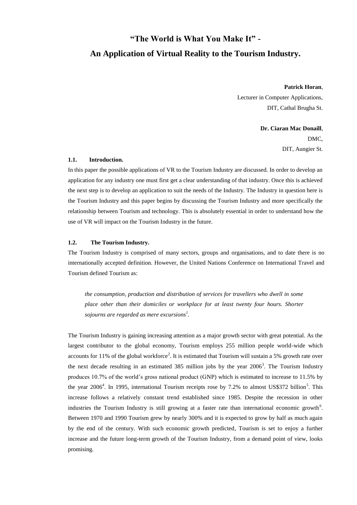# **"The World is What You Make It" - An Application of Virtual Reality to the Tourism Industry.**

**Patrick Horan**,

Lecturer in Computer Applications, DIT, Cathal Brugha St.

> **Dr. Ciaran Mac Donaill**, DMC, DIT, Aungier St.

#### **1.1. Introduction.**

In this paper the possible applications of VR to the Tourism Industry are discussed. In order to develop an application for any industry one must first get a clear understanding of that industry. Once this is achieved the next step is to develop an application to suit the needs of the Industry. The Industry in question here is the Tourism Industry and this paper begins by discussing the Tourism Industry and more specifically the relationship between Tourism and technology. This is absolutely essential in order to understand how the use of VR will impact on the Tourism Industry in the future.

# **1.2. The Tourism Industry.**

The Tourism Industry is comprised of many sectors, groups and organisations, and to date there is no internationally accepted definition. However, the United Nations Conference on International Travel and Tourism defined Tourism as:

*the consumption, production and distribution of services for travellers who dwell in some place other than their domiciles or workplace for at least twenty four hours. Shorter sojourns are regarded as mere excursions<sup>1</sup> .*

The Tourism Industry is gaining increasing attention as a major growth sector with great potential. As the largest contributor to the global economy, Tourism employs 255 million people world-wide which accounts for 11% of the global workforce<sup>2</sup>. It is estimated that Tourism will sustain a 5% growth rate over the next decade resulting in an estimated 385 million jobs by the year  $2006<sup>3</sup>$ . The Tourism Industry produces 10.7% of the world's gross national product (GNP) which is estimated to increase to 11.5% by the year  $2006<sup>4</sup>$ . In 1995, international Tourism receipts rose by 7.2% to almost US\$372 billion<sup>5</sup>. This increase follows a relatively constant trend established since 1985. Despite the recession in other industries the Tourism Industry is still growing at a faster rate than international economic growth<sup>6</sup>. Between 1970 and 1990 Tourism grew by nearly 300% and it is expected to grow by half as much again by the end of the century. With such economic growth predicted, Tourism is set to enjoy a further increase and the future long-term growth of the Tourism Industry, from a demand point of view, looks promising.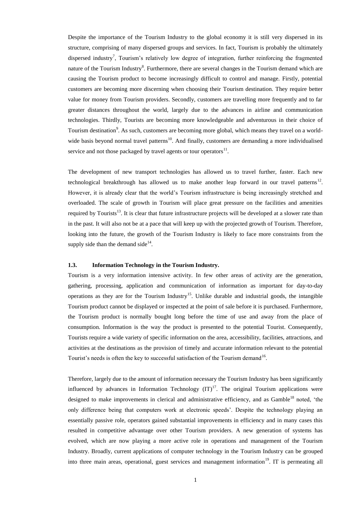Despite the importance of the Tourism Industry to the global economy it is still very dispersed in its structure, comprising of many dispersed groups and services. In fact, Tourism is probably the ultimately dispersed industry<sup>7</sup>, Tourism's relatively low degree of integration, further reinforcing the fragmented nature of the Tourism Industry<sup>8</sup>. Furthermore, there are several changes in the Tourism demand which are causing the Tourism product to become increasingly difficult to control and manage. Firstly, potential customers are becoming more discerning when choosing their Tourism destination. They require better value for money from Tourism providers. Secondly, customers are travelling more frequently and to far greater distances throughout the world, largely due to the advances in airline and communication technologies. Thirdly, Tourists are becoming more knowledgeable and adventurous in their choice of Tourism destination<sup>9</sup>. As such, customers are becoming more global, which means they travel on a worldwide basis beyond normal travel patterns<sup>10</sup>. And finally, customers are demanding a more individualised service and not those packaged by travel agents or tour operators $^{11}$ .

The development of new transport technologies has allowed us to travel further, faster. Each new technological breakthrough has allowed us to make another leap forward in our travel patterns<sup>12</sup>. However, it is already clear that the world's Tourism infrastructure is being increasingly stretched and overloaded. The scale of growth in Tourism will place great pressure on the facilities and amenities required by Tourists<sup>13</sup>. It is clear that future infrastructure projects will be developed at a slower rate than in the past. It will also not be at a pace that will keep up with the projected growth of Tourism. Therefore, looking into the future, the growth of the Tourism Industry is likely to face more constraints from the supply side than the demand side $14$ .

# **1.3. Information Technology in the Tourism Industry.**

Tourism is a very information intensive activity. In few other areas of activity are the generation, gathering, processing, application and communication of information as important for day-to-day operations as they are for the Tourism Industry<sup>15</sup>. Unlike durable and industrial goods, the intangible Tourism product cannot be displayed or inspected at the point of sale before it is purchased. Furthermore, the Tourism product is normally bought long before the time of use and away from the place of consumption. Information is the way the product is presented to the potential Tourist. Consequently, Tourists require a wide variety of specific information on the area, accessibility, facilities, attractions, and activities at the destinations as the provision of timely and accurate information relevant to the potential Tourist's needs is often the key to successful satisfaction of the Tourism demand<sup>16</sup>.

Therefore, largely due to the amount of information necessary the Tourism Industry has been significantly influenced by advances in Information Technology  $(IT)^{17}$ . The original Tourism applications were designed to make improvements in clerical and administrative efficiency, and as Gamble<sup>18</sup> noted, 'the only difference being that computers work at electronic speeds'. Despite the technology playing an essentially passive role, operators gained substantial improvements in efficiency and in many cases this resulted in competitive advantage over other Tourism providers. A new generation of systems has evolved, which are now playing a more active role in operations and management of the Tourism Industry. Broadly, current applications of computer technology in the Tourism Industry can be grouped into three main areas, operational, guest services and management information<sup>19</sup>. IT is permeating all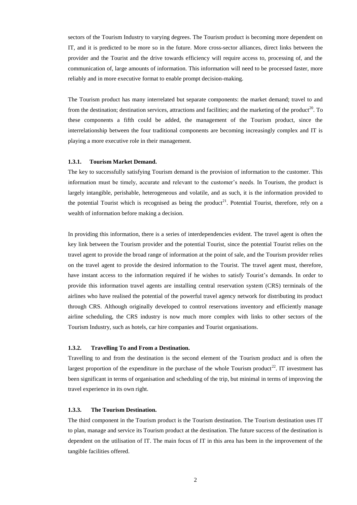sectors of the Tourism Industry to varying degrees. The Tourism product is becoming more dependent on IT, and it is predicted to be more so in the future. More cross-sector alliances, direct links between the provider and the Tourist and the drive towards efficiency will require access to, processing of, and the communication of, large amounts of information. This information will need to be processed faster, more reliably and in more executive format to enable prompt decision-making.

The Tourism product has many interrelated but separate components: the market demand; travel to and from the destination; destination services, attractions and facilities; and the marketing of the product<sup>20</sup>. To these components a fifth could be added, the management of the Tourism product, since the interrelationship between the four traditional components are becoming increasingly complex and IT is playing a more executive role in their management.

# **1.3.1. Tourism Market Demand.**

The key to successfully satisfying Tourism demand is the provision of information to the customer. This information must be timely, accurate and relevant to the customer's needs. In Tourism, the product is largely intangible, perishable, heterogeneous and volatile, and as such, it is the information provided to the potential Tourist which is recognised as being the product<sup>21</sup>. Potential Tourist, therefore, rely on a wealth of information before making a decision.

In providing this information, there is a series of interdependencies evident. The travel agent is often the key link between the Tourism provider and the potential Tourist, since the potential Tourist relies on the travel agent to provide the broad range of information at the point of sale, and the Tourism provider relies on the travel agent to provide the desired information to the Tourist. The travel agent must, therefore, have instant access to the information required if he wishes to satisfy Tourist's demands. In order to provide this information travel agents are installing central reservation system (CRS) terminals of the airlines who have realised the potential of the powerful travel agency network for distributing its product through CRS. Although originally developed to control reservations inventory and efficiently manage airline scheduling, the CRS industry is now much more complex with links to other sectors of the Tourism Industry, such as hotels, car hire companies and Tourist organisations.

#### **1.3.2. Travelling To and From a Destination.**

Travelling to and from the destination is the second element of the Tourism product and is often the largest proportion of the expenditure in the purchase of the whole Tourism product<sup>22</sup>. IT investment has been significant in terms of organisation and scheduling of the trip, but minimal in terms of improving the travel experience in its own right.

# **1.3.3. The Tourism Destination.**

The third component in the Tourism product is the Tourism destination. The Tourism destination uses IT to plan, manage and service its Tourism product at the destination. The future success of the destination is dependent on the utilisation of IT. The main focus of IT in this area has been in the improvement of the tangible facilities offered.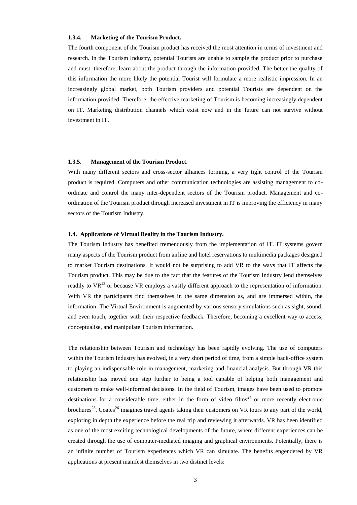## **1.3.4. Marketing of the Tourism Product.**

The fourth component of the Tourism product has received the most attention in terms of investment and research. In the Tourism Industry, potential Tourists are unable to sample the product prior to purchase and must, therefore, learn about the product through the information provided. The better the quality of this information the more likely the potential Tourist will formulate a more realistic impression. In an increasingly global market, both Tourism providers and potential Tourists are dependent on the information provided. Therefore, the effective marketing of Tourism is becoming increasingly dependent on IT. Marketing distribution channels which exist now and in the future can not survive without investment in IT.

### **1.3.5. Management of the Tourism Product.**

With many different sectors and cross-sector alliances forming, a very tight control of the Tourism product is required. Computers and other communication technologies are assisting management to coordinate and control the many inter-dependent sectors of the Tourism product. Management and coordination of the Tourism product through increased investment in IT is improving the efficiency in many sectors of the Tourism Industry.

## **1.4. Applications of Virtual Reality in the Tourism Industry.**

The Tourism Industry has benefited tremendously from the implementation of IT. IT systems govern many aspects of the Tourism product from airline and hotel reservations to multimedia packages designed to market Tourism destinations. It would not be surprising to add VR to the ways that IT affects the Tourism product. This may be due to the fact that the features of the Tourism Industry lend themselves readily to  $VR^{23}$  or because VR employs a vastly different approach to the representation of information. With VR the participants find themselves in the same dimension as, and are immersed within, the information. The Virtual Environment is augmented by various sensory simulations such as sight, sound, and even touch, together with their respective feedback. Therefore, becoming a excellent way to access, conceptualise, and manipulate Tourism information.

The relationship between Tourism and technology has been rapidly evolving. The use of computers within the Tourism Industry has evolved, in a very short period of time, from a simple back-office system to playing an indispensable role in management, marketing and financial analysis. But through VR this relationship has moved one step further to being a tool capable of helping both management and customers to make well-informed decisions. In the field of Tourism, images have been used to promote destinations for a considerable time, either in the form of video films<sup>24</sup> or more recently electronic brochures<sup>25</sup>. Coates<sup>26</sup> imagines travel agents taking their customers on VR tours to any part of the world, exploring in depth the experience before the real trip and reviewing it afterwards. VR has been identified as one of the most exciting technological developments of the future, where different experiences can be created through the use of computer-mediated imaging and graphical environments. Potentially, there is an infinite number of Tourism experiences which VR can simulate. The benefits engendered by VR applications at present manifest themselves in two distinct levels: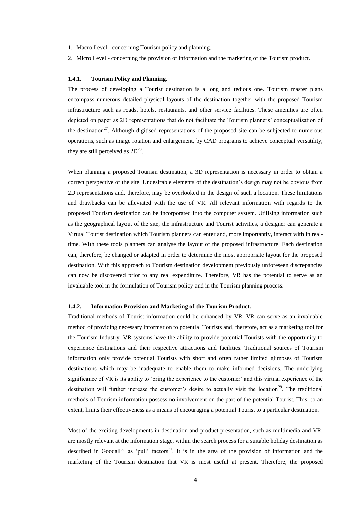- 1. Macro Level concerning Tourism policy and planning.
- 2. Micro Level concerning the provision of information and the marketing of the Tourism product.

### **1.4.1. Tourism Policy and Planning.**

The process of developing a Tourist destination is a long and tedious one. Tourism master plans encompass numerous detailed physical layouts of the destination together with the proposed Tourism infrastructure such as roads, hotels, restaurants, and other service facilities. These amenities are often depicted on paper as 2D representations that do not facilitate the Tourism planners' conceptualisation of the destination<sup>27</sup>. Although digitised representations of the proposed site can be subjected to numerous operations, such as image rotation and enlargement, by CAD programs to achieve conceptual versatility, they are still perceived as  $2D^{28}$ .

When planning a proposed Tourism destination, a 3D representation is necessary in order to obtain a correct perspective of the site. Undesirable elements of the destination's design may not be obvious from 2D representations and, therefore, may be overlooked in the design of such a location. These limitations and drawbacks can be alleviated with the use of VR. All relevant information with regards to the proposed Tourism destination can be incorporated into the computer system. Utilising information such as the geographical layout of the site, the infrastructure and Tourist activities, a designer can generate a Virtual Tourist destination which Tourism planners can enter and, more importantly, interact with in realtime. With these tools planners can analyse the layout of the proposed infrastructure. Each destination can, therefore, be changed or adapted in order to determine the most appropriate layout for the proposed destination. With this approach to Tourism destination development previously unforeseen discrepancies can now be discovered prior to any real expenditure. Therefore, VR has the potential to serve as an invaluable tool in the formulation of Tourism policy and in the Tourism planning process.

## **1.4.2. Information Provision and Marketing of the Tourism Product.**

Traditional methods of Tourist information could be enhanced by VR. VR can serve as an invaluable method of providing necessary information to potential Tourists and, therefore, act as a marketing tool for the Tourism Industry. VR systems have the ability to provide potential Tourists with the opportunity to experience destinations and their respective attractions and facilities. Traditional sources of Tourism information only provide potential Tourists with short and often rather limited glimpses of Tourism destinations which may be inadequate to enable them to make informed decisions. The underlying significance of VR is its ability to 'bring the experience to the customer' and this virtual experience of the destination will further increase the customer's desire to actually visit the location<sup>29</sup>. The traditional methods of Tourism information possess no involvement on the part of the potential Tourist. This, to an extent, limits their effectiveness as a means of encouraging a potential Tourist to a particular destination.

Most of the exciting developments in destination and product presentation, such as multimedia and VR, are mostly relevant at the information stage, within the search process for a suitable holiday destination as described in Goodall<sup>30</sup> as 'pull' factors<sup>31</sup>. It is in the area of the provision of information and the marketing of the Tourism destination that VR is most useful at present. Therefore, the proposed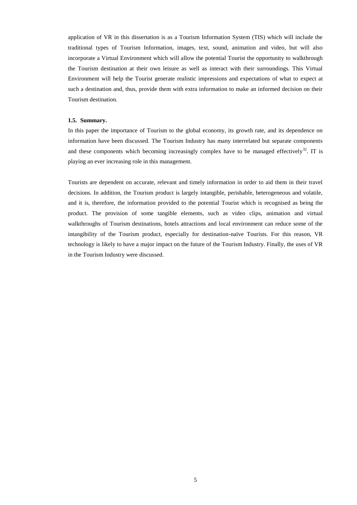application of VR in this dissertation is as a Tourism Information System (TIS) which will include the traditional types of Tourism Information, images, text, sound, animation and video, but will also incorporate a Virtual Environment which will allow the potential Tourist the opportunity to walkthrough the Tourism destination at their own leisure as well as interact with their surroundings. This Virtual Environment will help the Tourist generate realistic impressions and expectations of what to expect at such a destination and, thus, provide them with extra information to make an informed decision on their Tourism destination.

### **1.5. Summary.**

In this paper the importance of Tourism to the global economy, its growth rate, and its dependence on information have been discussed. The Tourism Industry has many interrelated but separate components and these components which becoming increasingly complex have to be managed effectively $32$ . IT is playing an ever increasing role in this management.

Tourists are dependent on accurate, relevant and timely information in order to aid them in their travel decisions. In addition, the Tourism product is largely intangible, perishable, heterogeneous and volatile, and it is, therefore, the information provided to the potential Tourist which is recognised as being the product. The provision of some tangible elements, such as video clips, animation and virtual walkthroughs of Tourism destinations, hotels attractions and local environment can reduce some of the intangibility of the Tourism product, especially for destination-naïve Tourists. For this reason, VR technology is likely to have a major impact on the future of the Tourism Industry. Finally, the uses of VR in the Tourism Industry were discussed.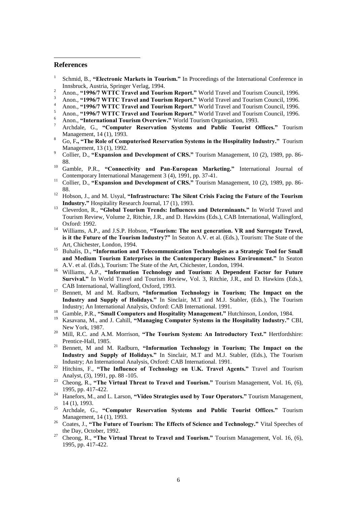# **References**

1

- 1 Schmid, B., **"Electronic Markets in Tourism."** In Proceedings of the International Conference in Innsbruck, Austria, Springer Verlag, 1994.
- <sup>2</sup> Anon., **"1996/7 WTTC Travel and Tourism Report."** World Travel and Tourism Council, 1996.
- <sup>3</sup> Anon., **"1996/7 WTTC Travel and Tourism Report."** World Travel and Tourism Council, 1996.
- <sup>4</sup> Anon., **"1996/7 WTTC Travel and Tourism Report."** World Travel and Tourism Council, 1996.
- <sup>5</sup> Anon., **"1996/7 WTTC Travel and Tourism Report."** World Travel and Tourism Council, 1996.
- <sup>6</sup> Anon., **"International Tourism Overview."** World Tourism Organisation, 1993.
- <sup>7</sup> Archdale, G., **"Computer Reservation Systems and Public Tourist Offices."** Tourism Management, 14 (1), 1993.
- <sup>8</sup> Go, F**., "The Role of Computerised Reservation Systems in the Hospitality Industry."** Tourism Management, 13 (1), 1992.
- <sup>9</sup> Collier, D., **"Expansion and Development of CRS."** Tourism Management, 10 (2), 1989, pp. 86- 88.
- <sup>10</sup> Gamble, P.R., **"Connectivity and Pan-European Marketing."** International Journal of Contemporary International Management 3 (4), 1991, pp. 37-41.
- 11 Collier, D., **"Expansion and Development of CRS."** Tourism Management, 10 (2), 1989, pp. 86- 88.
- <sup>12</sup> Hobson, J., and M. Usyal, "Infrastructure: The Silent Crisis Facing the Future of the Tourism **Industry."** Hospitality Research Journal, 17 (1), 1993.
- <sup>13</sup> Cleverdon, R., "Global Tourism Trends: Influences and Determinants." In World Travel and Tourism Review, Volume 2, Ritchie, J.R., and D. Hawkins (Eds.), CAB International, Wallingford, Oxford: 1992.
- <sup>14</sup> Williams, A.P., and J.S.P. Hobson, "Tourism: The next generation. VR and Surrogate Travel, **is it the Future of the Tourism Industry?"** In Seaton A.V. et al. (Eds.), Tourism: The State of the Art, Chichester, London, 1994.
- <sup>15</sup> Buhalis, D., "Information and Telecommunication Technologies as a Strategic Tool for Small **and Medium Tourism Enterprises in the Contemporary Business Environment."** In Seaton A.V. et al. (Eds.), Tourism: The State of the Art, Chichester, London, 1994.
- <sup>16</sup> Williams, A.P., "Information Technology and Tourism: A Dependent Factor for Future **Survival."** In World Travel and Tourism Review, Vol. 3, Ritchie, J.R., and D. Hawkins (Eds.), CAB International, Wallingford, Oxford, 1993.
- <sup>17</sup> Bennett, M and M. Radburn, **"Information Technology in Tourism; The Impact on the Industry and Supply of Holidays."** In Sinclair, M.T and M.J. Stabler, (Eds.), The Tourism Industry; An International Analysis, Oxford: CAB International. 1991.
- <sup>18</sup> Gamble, P.R., "Small Computers and Hospitality Management." Hutchinson, London, 1984.
- <sup>19</sup> Kasavana, M., and J. Cahill, **"Managing Computer Systems in the Hospitality Industry."** CBI, New York, 1987.
- <sup>20</sup> Mill, R.C. and A.M. Morrison, "The Tourism System: An Introductory Text." Hertfordshire: Prentice-Hall, 1985.
- <sup>21</sup> Bennett, M and M. Radburn, "Information Technology in Tourism; The Impact on the **Industry and Supply of Holidays."** In Sinclair, M.T and M.J. Stabler, (Eds.), The Tourism Industry; An International Analysis, Oxford: CAB International. 1991.
- <sup>22</sup> Hitchins, F., **"The Influence of Technology on U.K. Travel Agents."** Travel and Tourism Analyst, (3), 1991, pp. 88 -105.
- <sup>23</sup> Cheong, R., **"The Virtual Threat to Travel and Tourism."** Tourism Management, Vol. 16, (6), 1995, pp. 417-422.
- <sup>24</sup> Hanefors, M., and L. Larson, "Video Strategies used by Tour Operators." Tourism Management, 14 (1), 1993.
- <sup>25</sup> Archdale, G., "Computer Reservation Systems and Public Tourist Offices." Tourism Management, 14 (1), 1993.
- <sup>26</sup> Coates, J., **"The Future of Tourism: The Effects of Science and Technology."** Vital Speeches of the Day, October, 1992.
- <sup>27</sup> Cheong, R., **"The Virtual Threat to Travel and Tourism."** Tourism Management, Vol. 16, (6), 1995, pp. 417-422.